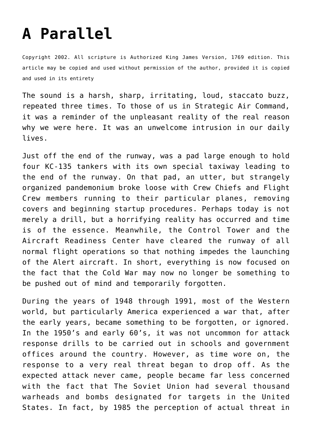## **[A Parallel](http://reproachofmen.org/spiritualwar/a-parallel/)**

Copyright 2002. All scripture is Authorized King James Version, 1769 edition. This article may be copied and used without permission of the author, provided it is copied and used in its entirety

The sound is a harsh, sharp, irritating, loud, staccato buzz, repeated three times. To those of us in Strategic Air Command, it was a reminder of the unpleasant reality of the real reason why we were here. It was an unwelcome intrusion in our daily lives.

Just off the end of the runway, was a pad large enough to hold four KC-135 tankers with its own special taxiway leading to the end of the runway. On that pad, an utter, but strangely organized pandemonium broke loose with Crew Chiefs and Flight Crew members running to their particular planes, removing covers and beginning startup procedures. Perhaps today is not merely a drill, but a horrifying reality has occurred and time is of the essence. Meanwhile, the Control Tower and the Aircraft Readiness Center have cleared the runway of all normal flight operations so that nothing impedes the launching of the Alert aircraft. In short, everything is now focused on the fact that the Cold War may now no longer be something to be pushed out of mind and temporarily forgotten.

During the years of 1948 through 1991, most of the Western world, but particularly America experienced a war that, after the early years, became something to be forgotten, or ignored. In the 1950's and early 60's, it was not uncommon for attack response drills to be carried out in schools and government offices around the country. However, as time wore on, the response to a very real threat began to drop off. As the expected attack never came, people became far less concerned with the fact that The Soviet Union had several thousand warheads and bombs designated for targets in the United States. In fact, by 1985 the perception of actual threat in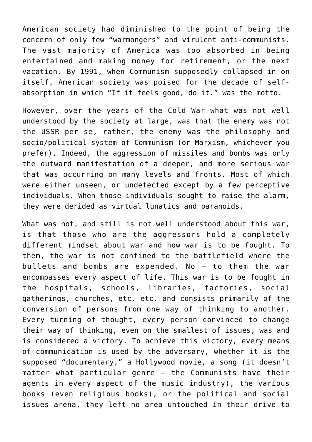American society had diminished to the point of being the concern of only few "warmongers" and virulent anti-communists. The vast majority of America was too absorbed in being entertained and making money for retirement, or the next vacation. By 1991, when Communism supposedly collapsed in on itself, American society was poised for the decade of selfabsorption in which "If it feels good, do it." was the motto.

However, over the years of the Cold War what was not well understood by the society at large, was that the enemy was not the USSR per se, rather, the enemy was the philosophy and socio/political system of Communism (or Marxism, whichever you prefer). Indeed, the aggression of missiles and bombs was only the outward manifestation of a deeper, and more serious war that was occurring on many levels and fronts. Most of which were either unseen, or undetected except by a few perceptive individuals. When those individuals sought to raise the alarm, they were derided as virtual lunatics and paranoids.

What was not, and still is not well understood about this war, is that those who are the aggressors hold a completely different mindset about war and how war is to be fought. To them, the war is not confined to the battlefield where the bullets and bombs are expended. No — to them the war encompasses every aspect of life. This war is to be fought in the hospitals, schools, libraries, factories, social gatherings, churches, etc. etc. and consists primarily of the conversion of persons from one way of thinking to another. Every turning of thought, every person convinced to change their way of thinking, even on the smallest of issues, was and is considered a victory. To achieve this victory, every means of communication is used by the adversary, whether it is the supposed "documentary," a Hollywood movie, a song (it doesn't matter what particular genre — the Communists have their agents in every aspect of the music industry), the various books (even religious books), or the political and social issues arena, they left no area untouched in their drive to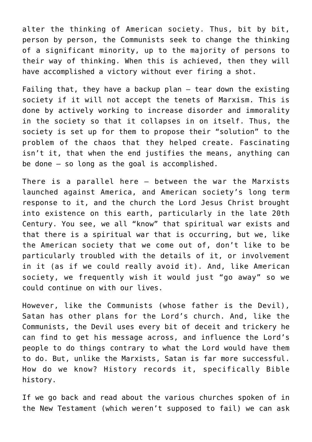alter the thinking of American society. Thus, bit by bit, person by person, the Communists seek to change the thinking of a significant minority, up to the majority of persons to their way of thinking. When this is achieved, then they will have accomplished a victory without ever firing a shot.

Failing that, they have a backup plan — tear down the existing society if it will not accept the tenets of Marxism. This is done by actively working to increase disorder and immorality in the society so that it collapses in on itself. Thus, the society is set up for them to propose their "solution" to the problem of the chaos that they helped create. Fascinating isn't it, that when the end justifies the means, anything can be done — so long as the goal is accomplished.

There is a parallel here — between the war the Marxists launched against America, and American society's long term response to it, and the church the Lord Jesus Christ brought into existence on this earth, particularly in the late 20th Century. You see, we all "know" that spiritual war exists and that there is a spiritual war that is occurring, but we, like the American society that we come out of, don't like to be particularly troubled with the details of it, or involvement in it (as if we could really avoid it). And, like American society, we frequently wish it would just "go away" so we could continue on with our lives.

However, like the Communists (whose father is the Devil), Satan has other plans for the Lord's church. And, like the Communists, the Devil uses every bit of deceit and trickery he can find to get his message across, and influence the Lord's people to do things contrary to what the Lord would have them to do. But, unlike the Marxists, Satan is far more successful. How do we know? History records it, specifically Bible history.

If we go back and read about the various churches spoken of in the New Testament (which weren't supposed to fail) we can ask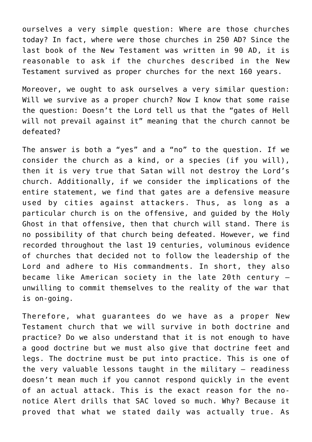ourselves a very simple question: Where are those churches today? In fact, where were those churches in 250 AD? Since the last book of the New Testament was written in 90 AD, it is reasonable to ask if the churches described in the New Testament survived as proper churches for the next 160 years.

Moreover, we ought to ask ourselves a very similar question: Will we survive as a proper church? Now I know that some raise the question: Doesn't the Lord tell us that the "gates of Hell will not prevail against it" meaning that the church cannot be defeated?

The answer is both a "yes" and a "no" to the question. If we consider the church as a kind, or a species (if you will), then it is very true that Satan will not destroy the Lord's church. Additionally, if we consider the implications of the entire statement, we find that gates are a defensive measure used by cities against attackers. Thus, as long as a particular church is on the offensive, and guided by the Holy Ghost in that offensive, then that church will stand. There is no possibility of that church being defeated. However, we find recorded throughout the last 19 centuries, voluminous evidence of churches that decided not to follow the leadership of the Lord and adhere to His commandments. In short, they also became like American society in the late 20th century unwilling to commit themselves to the reality of the war that is on-going.

Therefore, what guarantees do we have as a proper New Testament church that we will survive in both doctrine and practice? Do we also understand that it is not enough to have a good doctrine but we must also give that doctrine feet and legs. The doctrine must be put into practice. This is one of the very valuable lessons taught in the military — readiness doesn't mean much if you cannot respond quickly in the event of an actual attack. This is the exact reason for the nonotice Alert drills that SAC loved so much. Why? Because it proved that what we stated daily was actually true. As